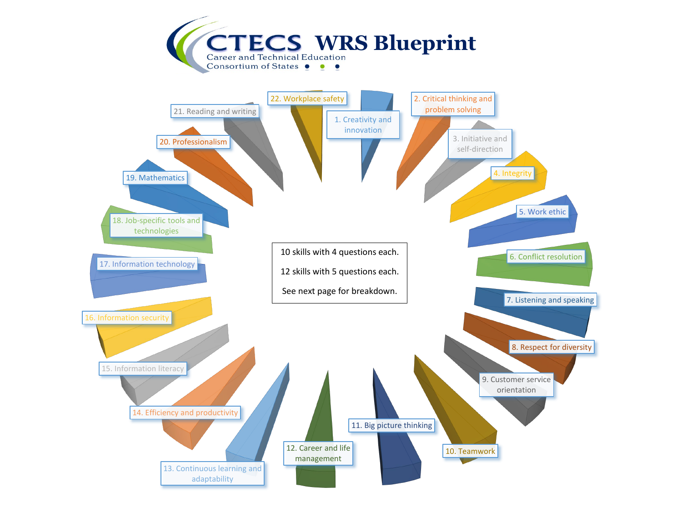